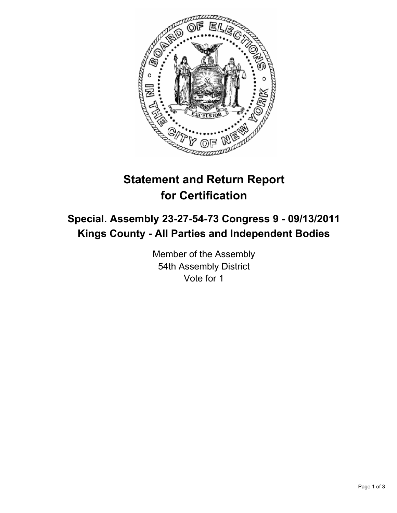

# **Statement and Return Report for Certification**

## **Special. Assembly 23-27-54-73 Congress 9 - 09/13/2011 Kings County - All Parties and Independent Bodies**

Member of the Assembly 54th Assembly District Vote for 1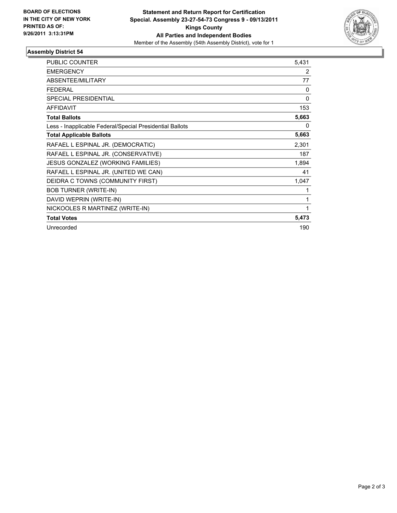

## **Assembly District 54**

| <b>PUBLIC COUNTER</b>                                    | 5,431    |
|----------------------------------------------------------|----------|
| <b>EMERGENCY</b>                                         | 2        |
| ABSENTEE/MILITARY                                        | 77       |
| <b>FEDERAL</b>                                           | $\Omega$ |
| <b>SPECIAL PRESIDENTIAL</b>                              | $\Omega$ |
| <b>AFFIDAVIT</b>                                         | 153      |
| <b>Total Ballots</b>                                     | 5,663    |
| Less - Inapplicable Federal/Special Presidential Ballots | 0        |
| <b>Total Applicable Ballots</b>                          | 5,663    |
| RAFAEL L ESPINAL JR. (DEMOCRATIC)                        | 2,301    |
| RAFAEL L ESPINAL JR. (CONSERVATIVE)                      | 187      |
| JESUS GONZALEZ (WORKING FAMILIES)                        | 1,894    |
| RAFAEL L ESPINAL JR. (UNITED WE CAN)                     | 41       |
| DEIDRA C TOWNS (COMMUNITY FIRST)                         | 1,047    |
| <b>BOB TURNER (WRITE-IN)</b>                             |          |
| DAVID WEPRIN (WRITE-IN)                                  |          |
| NICKOOLES R MARTINEZ (WRITE-IN)                          | 1        |
| <b>Total Votes</b>                                       | 5,473    |
| Unrecorded                                               | 190      |